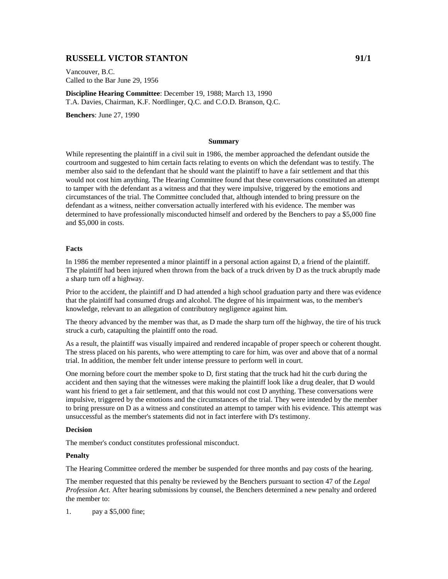# **RUSSELL VICTOR STANTON** 91/1

Vancouver, B.C. Called to the Bar June 29, 1956

**Discipline Hearing Committee**: December 19, 1988; March 13, 1990 T.A. Davies, Chairman, K.F. Nordlinger, Q.C. and C.O.D. Branson, Q.C.

**Benchers**: June 27, 1990

#### **Summary**

While representing the plaintiff in a civil suit in 1986, the member approached the defendant outside the courtroom and suggested to him certain facts relating to events on which the defendant was to testify. The member also said to the defendant that he should want the plaintiff to have a fair settlement and that this would not cost him anything. The Hearing Committee found that these conversations constituted an attempt to tamper with the defendant as a witness and that they were impulsive, triggered by the emotions and circumstances of the trial. The Committee concluded that, although intended to bring pressure on the defendant as a witness, neither conversation actually interfered with his evidence. The member was determined to have professionally misconducted himself and ordered by the Benchers to pay a \$5,000 fine and \$5,000 in costs.

### **Facts**

In 1986 the member represented a minor plaintiff in a personal action against D, a friend of the plaintiff. The plaintiff had been injured when thrown from the back of a truck driven by D as the truck abruptly made a sharp turn off a highway.

Prior to the accident, the plaintiff and D had attended a high school graduation party and there was evidence that the plaintiff had consumed drugs and alcohol. The degree of his impairment was, to the member's knowledge, relevant to an allegation of contributory negligence against him.

The theory advanced by the member was that, as D made the sharp turn off the highway, the tire of his truck struck a curb, catapulting the plaintiff onto the road.

As a result, the plaintiff was visually impaired and rendered incapable of proper speech or coherent thought. The stress placed on his parents, who were attempting to care for him, was over and above that of a normal trial. In addition, the member felt under intense pressure to perform well in court.

One morning before court the member spoke to D, first stating that the truck had hit the curb during the accident and then saying that the witnesses were making the plaintiff look like a drug dealer, that D would want his friend to get a fair settlement, and that this would not cost D anything. These conversations were impulsive, triggered by the emotions and the circumstances of the trial. They were intended by the member to bring pressure on D as a witness and constituted an attempt to tamper with his evidence. This attempt was unsuccessful as the member's statements did not in fact interfere with D's testimony.

## **Decision**

The member's conduct constitutes professional misconduct.

#### **Penalty**

The Hearing Committee ordered the member be suspended for three months and pay costs of the hearing.

The member requested that this penalty be reviewed by the Benchers pursuant to section 47 of the *Legal Profession Act*. After hearing submissions by counsel, the Benchers determined a new penalty and ordered the member to:

1. pay a \$5,000 fine;